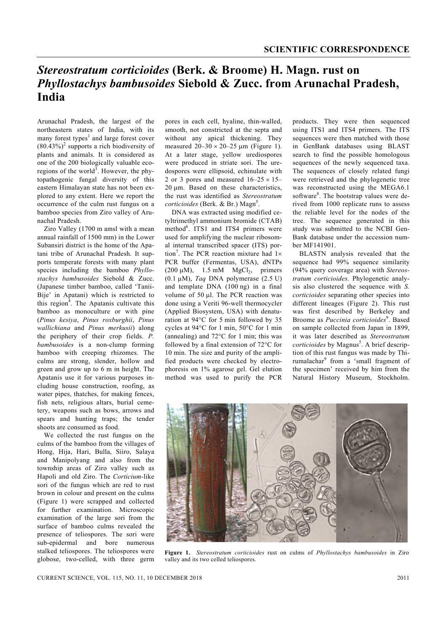## *Stereostratum corticioides* **(Berk. & Broome) H. Magn. rust on**  *Phyllostachys bambusoides* **Siebold & Zucc. from Arunachal Pradesh, India**

Arunachal Pradesh, the largest of the northeastern states of India, with its many forest types $<sup>1</sup>$  and large forest cover</sup>  $(80.43\%)^2$  supports a rich biodiversity of plants and animals. It is considered as one of the 200 biologically valuable ecoregions of the world<sup>3</sup>. However, the phytopathogenic fungal diversity of this eastern Himalayan state has not been explored to any extent. Here we report the occurrence of the culm rust fungus on a bamboo species from Ziro valley of Arunachal Pradesh.

 Ziro Valley (1700 m amsl with a mean annual rainfall of 1500 mm) in the Lower Subansiri district is the home of the Apatani tribe of Arunachal Pradesh. It supports temperate forests with many plant species including the bamboo *Phyllostachys bambusoides* Siebold & Zucc. (Japanese timber bamboo, called 'Tanii-Bije' in Apatani) which is restricted to this region<sup>4</sup>. The Apatanis cultivate this bamboo as monoculture or with pine (*Pinus kesiya*, *Pinus roxburghii*, *Pinus wallichiana* and *Pinus merkusii*) along the periphery of their crop fields. *P. bambusoides* is a non-clump forming bamboo with creeping rhizomes. The culms are strong, slender, hollow and green and grow up to 6 m in height. The Apatanis use it for various purposes including house construction, roofing, as water pipes, thatches, for making fences, fish nets, religious altars, burial cemetery, weapons such as bows, arrows and spears and hunting traps; the tender shoots are consumed as food.

 We collected the rust fungus on the culms of the bamboo from the villages of Hong, Hija, Hari, Bulla, Siiro, Salaya and Manipolyang and also from the township areas of Ziro valley such as Hapoli and old Ziro. The *Corticium-*like sori of the fungus which are red to rust brown in colour and present on the culms (Figure 1) were scrapped and collected for further examination. Microscopic examination of the large sori from the surface of bamboo culms revealed the presence of teliospores. The sori were sub-epidermal and bore numerous stalked teliospores. The teliospores were globose, two-celled, with three germ

pores in each cell, hyaline, thin-walled, smooth, not constricted at the septa and without any apical thickening. They measured  $20-30 \times 20-25 \text{ }\mu\text{m}$  (Figure 1). At a later stage, yellow urediospores were produced in striate sori. The uredospores were ellipsoid, echinulate with 2 or 3 pores and measured  $16-25 \times 15$ 20 μm. Based on these characteristics, the rust was identified as *Stereostratum*  corticioides (Berk. & Br.) Magn<sup>5</sup>.

 DNA was extracted using modified cetyltrimethyl ammonium bromide (CTAB) method<sup>6</sup>. ITS1 and ITS4 primers were used for amplifying the nuclear ribosomal internal transcribed spacer (ITS) portion<sup>7</sup>. The PCR reaction mixture had  $1 \times$ PCR buffer (Fermentas, USA), dNTPs (200  $\mu$ M), 1.5 mM MgCl<sub>2</sub>, primers (0.1 μM), *Taq* DNA polymerase (2.5 U) and template DNA (100 ng) in a final volume of 50 μl. The PCR reaction was done using a Veriti 96-well thermocycler (Applied Biosystem, USA) with denaturation at 94°C for 5 min followed by 35 cycles at 94°C for 1 min, 50°C for 1 min (annealing) and 72°C for 1 min; this was followed by a final extension of 72°C for 10 min. The size and purity of the amplified products were checked by electrophoresis on 1% agarose gel. Gel elution method was used to purify the PCR

products. They were then sequenced using ITS1 and ITS4 primers. The ITS sequences were then matched with those in GenBank databases using BLAST search to find the possible homologous sequences of the newly sequenced taxa. The sequences of closely related fungi were retrieved and the phylogenetic tree was reconstructed using the MEGA6.1 software<sup>8</sup>. The bootstrap values were derived from 1000 replicate runs to assess the reliable level for the nodes of the tree. The sequence generated in this study was submitted to the NCBI Gen-Bank database under the accession number MF141901.

 BLASTN analysis revealed that the sequence had 99% sequence similarity (94% query coverage area) with *Stereostratum corticioides*. Phylogenetic analysis also clustered the sequence with *S. corticioides* separating other species into different lineages (Figure 2). This rust was first described by Berkeley and Broome as *Puccinia corticioides*<sup>9</sup>. Based on sample collected from Japan in 1899, it was later described as *Stereostratum*  corticioides by Magnus<sup>5</sup>. A brief description of this rust fungus was made by Thirumalachar<sup>9</sup> from a 'small fragment of the specimen' received by him from the Natural History Museum, Stockholm.



**Figure 1.** *Stereostratum corticioides* rust on culms of *Phyllostachys bambusoides* in Ziro valley and its two celled teliospores.